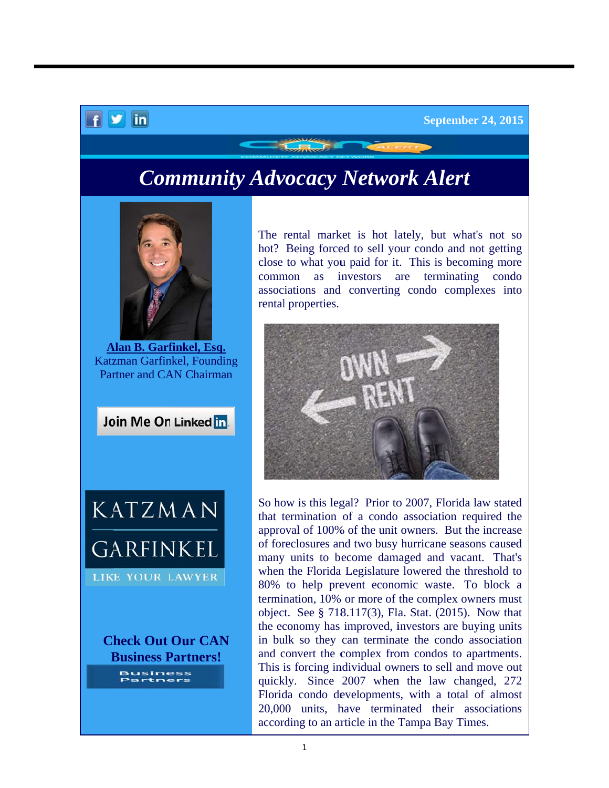## $f$   $\vee$  in

## **Community Advocacy Network Alert**



**A Alan B. Garf finkel, Esq.** Katzman Garfinkel, Founding Partner and CAN Chairman





**Ch heck Out Our CAN B Business P Partners!**

hot? Being forced to sell your condo and not getting close to what you paid for it. This is becoming more comm mon as i associations and converting condo complexes into rental properties. rental market is hot lately, but what's not so investors are are termin nating cond condo



So how is this legal? Prior to 2007, Florida law stated that termination of a condo association required the approval of 100% of the unit owners. But the increase of foreclosures and two busy hurricane seasons caused many units to become damaged and vacant. That's when the Florida Legislature lowered the threshold to 80% to help prevent economic waste. To block a termination, 10% or more of the complex owners must object. See § 718.117(3), Fla. Stat. (2015). Now that the economy has improved, investors are buying units in bulk so they can terminate the condo association and convert the complex from condos to apartments. This is forcing individual owners to sell and move out quickly. Since 2007 when the law changed, 272 Florida condo developments, with a total of almost 20,000 units, have terminated their associations according to an article in the Tampa Bay Times.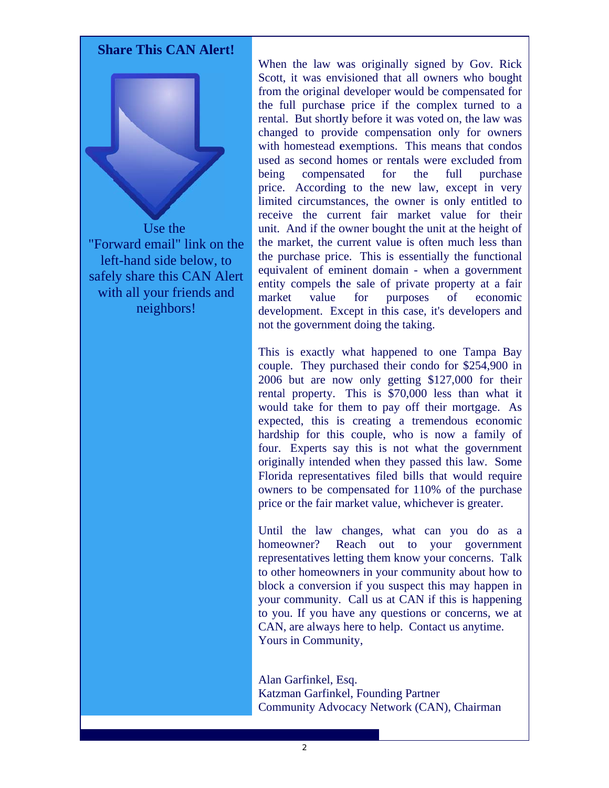

Use the "Forward email" link on the left-hand side below, to safely share this CAN Alert with all your friends and neighbors!

When the law was originally signed by Gov. Rick Scott, it was envisioned that all owners who bought from the original developer would be compensated for the full purchase price if the complex turned to a rental. But shortly before it was voted on, the law was changed to provide compensation only for owners with homestead exemptions. This means that condos used as second homes or rentals were excluded from  $for$ the purchase heing compensated full price. According to the new law, except in very limited circumstances, the owner is only entitled to receive the current fair market value for their unit. And if the owner bought the unit at the height of the market, the current value is often much less than the purchase price. This is essentially the functional equivalent of eminent domain - when a government entity compels the sale of private property at a fair market value for **purposes**  $\sigma$ economic development. Except in this case, it's developers and not the government doing the taking.

This is exactly what happened to one Tampa Bay couple. They purchased their condo for \$254,900 in 2006 but are now only getting \$127,000 for their rental property. This is \$70,000 less than what it would take for them to pay off their mortgage. As expected, this is creating a tremendous economic hardship for this couple, who is now a family of four. Experts say this is not what the government originally intended when they passed this law. Some Florida representatives filed bills that would require owners to be compensated for 110% of the purchase price or the fair market value, whichever is greater.

Until the law changes, what can you do as a homeowner? Reach out to your government representatives letting them know your concerns. Talk to other homeowners in your community about how to block a conversion if you suspect this may happen in your community. Call us at CAN if this is happening to you. If you have any questions or concerns, we at CAN, are always here to help. Contact us anytime. Yours in Community,

Alan Garfinkel, Esq. Katzman Garfinkel, Founding Partner Community Advocacy Network (CAN), Chairman